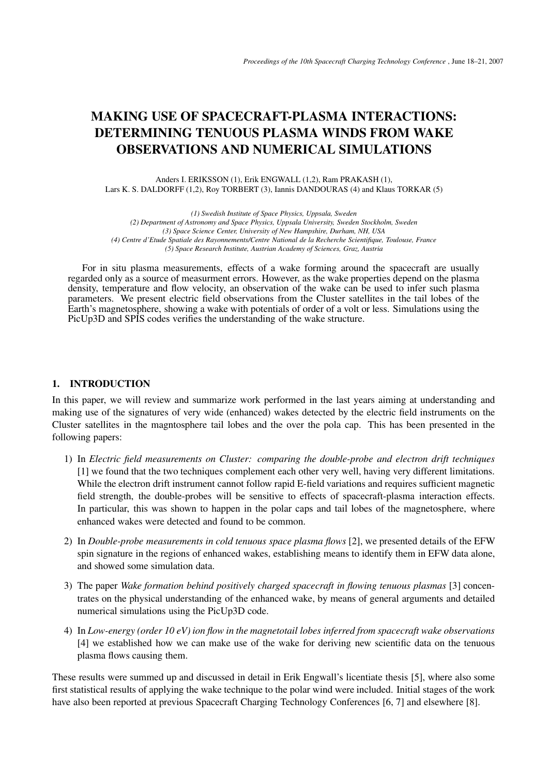# **MAKING USE OF SPACECRAFT-PLASMA INTERACTIONS: DETERMINING TENUOUS PLASMA WINDS FROM WAKE OBSERVATIONS AND NUMERICAL SIMULATIONS**

Anders I. ERIKSSON (1), Erik ENGWALL (1,2), Ram PRAKASH (1), Lars K. S. DALDORFF (1,2), Roy TORBERT (3), Iannis DANDOURAS (4) and Klaus TORKAR (5)

*(1) Swedish Institute of Space Physics, Uppsala, Sweden (2) Department of Astronomy and Space Physics, Uppsala University, Sweden Stockholm, Sweden (3) Space Science Center, University of New Hampshire, Durham, NH, USA (4) Centre d'Etude Spatiale des Rayonnements/Centre National de la Recherche Scientifique, Toulouse, France (5) Space Research Institute, Austrian Academy of Sciences, Graz, Austria*

For in situ plasma measurements, effects of a wake forming around the spacecraft are usually regarded only as a source of measurment errors. However, as the wake properties depend on the plasma density, temperature and flow velocity, an observation of the wake can be used to infer such plasma parameters. We present electric field observations from the Cluster satellites in the tail lobes of the Earth's magnetosphere, showing a wake with potentials of order of a volt or less. Simulations using the PicUp3D and SPIS codes verifies the understanding of the wake structure.

# **1. INTRODUCTION**

In this paper, we will review and summarize work performed in the last years aiming at understanding and making use of the signatures of very wide (enhanced) wakes detected by the electric field instruments on the Cluster satellites in the magntosphere tail lobes and the over the pola cap. This has been presented in the following papers:

- 1) In *Electric field measurements on Cluster: comparing the double-probe and electron drift techniques* [1] we found that the two techniques complement each other very well, having very different limitations. While the electron drift instrument cannot follow rapid E-field variations and requires sufficient magnetic field strength, the double-probes will be sensitive to effects of spacecraft-plasma interaction effects. In particular, this was shown to happen in the polar caps and tail lobes of the magnetosphere, where enhanced wakes were detected and found to be common.
- 2) In *Double-probe measurements in cold tenuous space plasma flows* [2], we presented details of the EFW spin signature in the regions of enhanced wakes, establishing means to identify them in EFW data alone, and showed some simulation data.
- 3) The paper *Wake formation behind positively charged spacecraft in flowing tenuous plasmas* [3] concentrates on the physical understanding of the enhanced wake, by means of general arguments and detailed numerical simulations using the PicUp3D code.
- 4) In *Low-energy (order 10 eV) ion flow in the magnetotail lobes inferred from spacecraft wake observations* [4] we established how we can make use of the wake for deriving new scientific data on the tenuous plasma flows causing them.

These results were summed up and discussed in detail in Erik Engwall's licentiate thesis [5], where also some first statistical results of applying the wake technique to the polar wind were included. Initial stages of the work have also been reported at previous Spacecraft Charging Technology Conferences [6, 7] and elsewhere [8].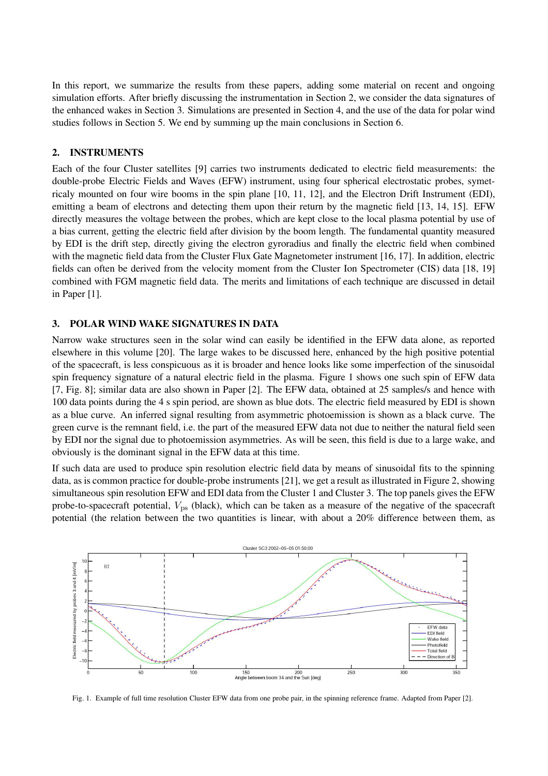In this report, we summarize the results from these papers, adding some material on recent and ongoing simulation efforts. After briefly discussing the instrumentation in Section 2, we consider the data signatures of the enhanced wakes in Section 3. Simulations are presented in Section 4, and the use of the data for polar wind studies follows in Section 5. We end by summing up the main conclusions in Section 6.

# **2. INSTRUMENTS**

Each of the four Cluster satellites [9] carries two instruments dedicated to electric field measurements: the double-probe Electric Fields and Waves (EFW) instrument, using four spherical electrostatic probes, symetricaly mounted on four wire booms in the spin plane [10, 11, 12], and the Electron Drift Instrument (EDI), emitting a beam of electrons and detecting them upon their return by the magnetic field [13, 14, 15]. EFW directly measures the voltage between the probes, which are kept close to the local plasma potential by use of a bias current, getting the electric field after division by the boom length. The fundamental quantity measured by EDI is the drift step, directly giving the electron gyroradius and finally the electric field when combined with the magnetic field data from the Cluster Flux Gate Magnetometer instrument [16, 17]. In addition, electric fields can often be derived from the velocity moment from the Cluster Ion Spectrometer (CIS) data [18, 19] combined with FGM magnetic field data. The merits and limitations of each technique are discussed in detail in Paper [1].

## **3. POLAR WIND WAKE SIGNATURES IN DATA**

Narrow wake structures seen in the solar wind can easily be identified in the EFW data alone, as reported elsewhere in this volume [20]. The large wakes to be discussed here, enhanced by the high positive potential of the spacecraft, is less conspicuous as it is broader and hence looks like some imperfection of the sinusoidal spin frequency signature of a natural electric field in the plasma. Figure 1 shows one such spin of EFW data [7, Fig. 8]; similar data are also shown in Paper [2]. The EFW data, obtained at 25 samples/s and hence with 100 data points during the 4 s spin period, are shown as blue dots. The electric field measured by EDI is shown as a blue curve. An inferred signal resulting from asymmetric photoemission is shown as a black curve. The green curve is the remnant field, i.e. the part of the measured EFW data not due to neither the natural field seen by EDI nor the signal due to photoemission asymmetries. As will be seen, this field is due to a large wake, and obviously is the dominant signal in the EFW data at this time.

If such data are used to produce spin resolution electric field data by means of sinusoidal fits to the spinning data, as is common practice for double-probe instruments [21], we get a result as illustrated in Figure 2, showing simultaneous spin resolution EFW and EDI data from the Cluster 1 and Cluster 3. The top panels gives the EFW probe-to-spacecraft potential,  $V_{\text{ps}}$  (black), which can be taken as a measure of the negative of the spacecraft potential (the relation between the two quantities is linear, with about a 20% difference between them, as



Fig. 1. Example of full time resolution Cluster EFW data from one probe pair, in the spinning reference frame. Adapted from Paper [2].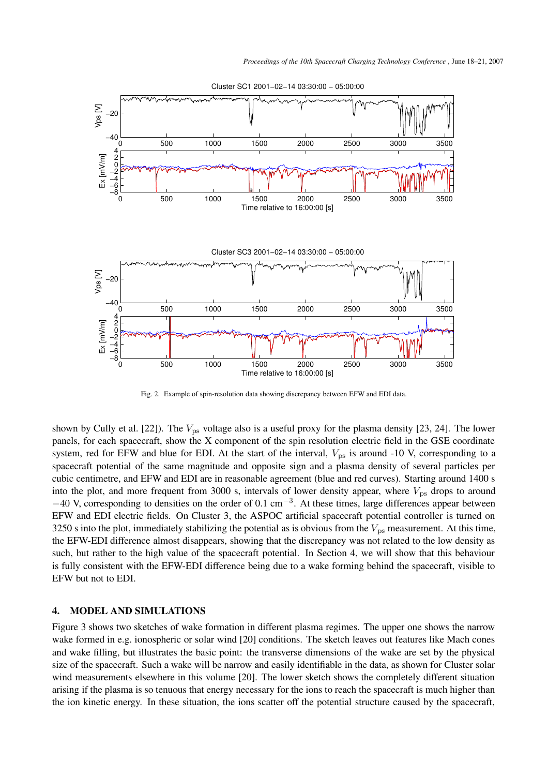

Cluster SC1 2001−02−14 03:30:00 − 05:00:00

Fig. 2. Example of spin-resolution data showing discrepancy between EFW and EDI data.

shown by Cully et al. [22]). The  $V_{\text{ps}}$  voltage also is a useful proxy for the plasma density [23, 24]. The lower panels, for each spacecraft, show the X component of the spin resolution electric field in the GSE coordinate system, red for EFW and blue for EDI. At the start of the interval,  $V_{\text{ps}}$  is around -10 V, corresponding to a spacecraft potential of the same magnitude and opposite sign and a plasma density of several particles per cubic centimetre, and EFW and EDI are in reasonable agreement (blue and red curves). Starting around 1400 s into the plot, and more frequent from 3000 s, intervals of lower density appear, where  $V_{\text{ps}}$  drops to around  $-40$  V, corresponding to densities on the order of 0.1 cm<sup>-3</sup>. At these times, large differences appear between EFW and EDI electric fields. On Cluster 3, the ASPOC artificial spacecraft potential controller is turned on 3250 s into the plot, immediately stabilizing the potential as is obvious from the  $V_{\text{ps}}$  measurement. At this time, the EFW-EDI difference almost disappears, showing that the discrepancy was not related to the low density as such, but rather to the high value of the spacecraft potential. In Section 4, we will show that this behaviour is fully consistent with the EFW-EDI difference being due to a wake forming behind the spacecraft, visible to EFW but not to EDI.

## **4. MODEL AND SIMULATIONS**

Figure 3 shows two sketches of wake formation in different plasma regimes. The upper one shows the narrow wake formed in e.g. ionospheric or solar wind [20] conditions. The sketch leaves out features like Mach cones and wake filling, but illustrates the basic point: the transverse dimensions of the wake are set by the physical size of the spacecraft. Such a wake will be narrow and easily identifiable in the data, as shown for Cluster solar wind measurements elsewhere in this volume [20]. The lower sketch shows the completely different situation arising if the plasma is so tenuous that energy necessary for the ions to reach the spacecraft is much higher than the ion kinetic energy. In these situation, the ions scatter off the potential structure caused by the spacecraft,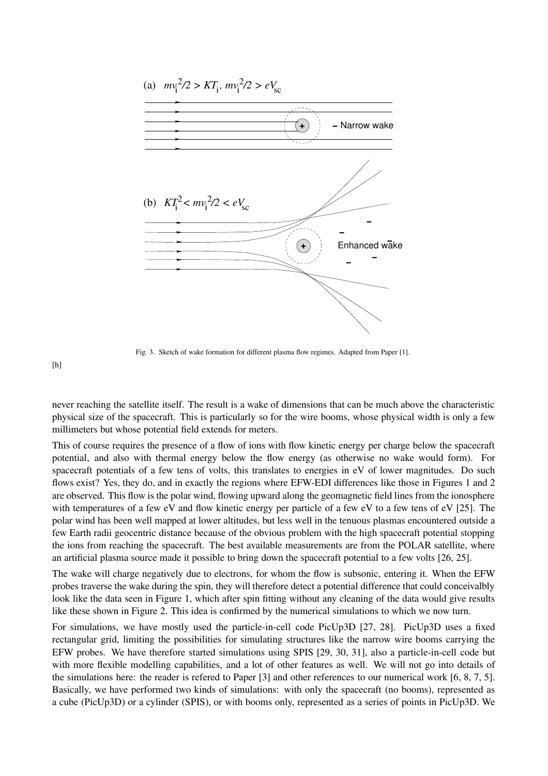

Fig. 3. Sketch of wake formation for different plasma flow regimes. Adapted from Paper [1].

 $[h]$ 

never reaching the satellite itself. The result is a wake of dimensions that can be much above the characteristic physical size of the spacecraft. This is particularly so for the wire booms, whose physical width is only a few millimeters but whose potential field extends for meters.

This of course requires the presence of a flow of ions with flow kinetic energy per charge below the spacecraft potential, and also with thermal energy below the flow energy (as otherwise no wake would form). For spacecraft potentials of a few tens of volts, this translates to energies in eV of lower magnitudes. Do such flows exist? Yes, they do, and in exactly the regions where EFW-EDI differences like those in Figures 1 and 2 are observed. This flow is the polar wind, flowing upward along the geomagnetic field lines from the ionosphere with temperatures of a few eV and flow kinetic energy per particle of a few eV to a few tens of eV [25]. The polar wind has been well mapped at lower altitudes, but less well in the tenuous plasmas encountered outside a few Earth radii geocentric distance because of the obvious problem with the high spacecraft potential stopping the ions from reaching the spacecraft. The best available measurements are from the POLAR satellite, where an artificial plasma source made it possible to bring down the spacecraft potential to a few volts [26, 25].

The wake will charge negatively due to electrons, for whom the flow is subsonic, entering it. When the EFW probes traverse the wake during the spin, they will therefore detect a potential difference that could conceivalbly look like the data seen in Figure 1, which after spin fitting without any cleaning of the data would give results like these shown in Figure 2. This idea is confirmed by the numerical simulations to which we now turn.

For simulations, we have mostly used the particle-in-cell code PicUp3D [27, 28]. PicUp3D uses a fixed rectangular grid, limiting the possibilities for simulating structures like the narrow wire booms carrying the EFW probes. We have therefore started simulations using SPIS [29, 30, 31], also a particle-in-cell code but with more flexible modelling capabilities, and a lot of other features as well. We will not go into details of the simulations here: the reader is refered to Paper [3] and other references to our numerical work [6, 8, 7, 5]. Basically, we have performed two kinds of simulations: with only the spacecraft (no booms), represented as a cube (PicUp3D) or a cylinder (SPIS), or with booms only, represented as a series of points in PicUp3D. We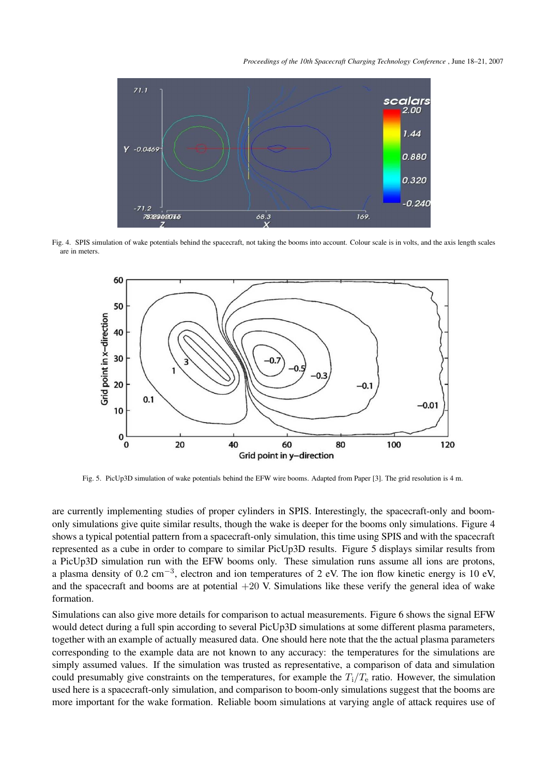*Proceedings of the 10th Spacecraft Charging Technology Conference* , June 18–21, 2007



Fig. 4. SPIS simulation of wake potentials behind the spacecraft, not taking the booms into account. Colour scale is in volts, and the axis length scales are in meters.



Fig. 5. PicUp3D simulation of wake potentials behind the EFW wire booms. Adapted from Paper [3]. The grid resolution is 4 m.

are currently implementing studies of proper cylinders in SPIS. Interestingly, the spacecraft-only and boomonly simulations give quite similar results, though the wake is deeper for the booms only simulations. Figure 4 shows a typical potential pattern from a spacecraft-only simulation, this time using SPIS and with the spacecraft represented as a cube in order to compare to similar PicUp3D results. Figure 5 displays similar results from a PicUp3D simulation run with the EFW booms only. These simulation runs assume all ions are protons, a plasma density of 0.2 cm<sup>-3</sup>, electron and ion temperatures of 2 eV. The ion flow kinetic energy is 10 eV, and the spacecraft and booms are at potential  $+20$  V. Simulations like these verify the general idea of wake formation.

Simulations can also give more details for comparison to actual measurements. Figure 6 shows the signal EFW would detect during a full spin according to several PicUp3D simulations at some different plasma parameters, together with an example of actually measured data. One should here note that the the actual plasma parameters corresponding to the example data are not known to any accuracy: the temperatures for the simulations are simply assumed values. If the simulation was trusted as representative, a comparison of data and simulation could presumably give constraints on the temperatures, for example the  $T_i/T_e$  ratio. However, the simulation used here is a spacecraft-only simulation, and comparison to boom-only simulations suggest that the booms are more important for the wake formation. Reliable boom simulations at varying angle of attack requires use of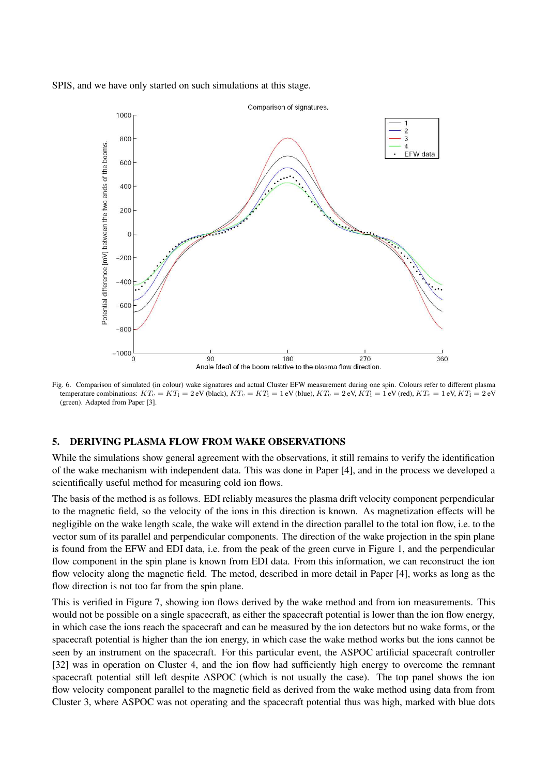SPIS, and we have only started on such simulations at this stage.



Fig. 6. Comparison of simulated (in colour) wake signatures and actual Cluster EFW measurement during one spin. Colours refer to different plasma temperature combinations:  $KT_e = KT_i = 2 eV$  (black),  $KT_e = KT_i = 1 eV$  (blue),  $KT_e = 2 eV$ ,  $KT_i = 1 eV$  (red),  $KT_e = 1 eV$ ,  $KT_i = 2 eV$ (green). Adapted from Paper [3].

#### **5. DERIVING PLASMA FLOW FROM WAKE OBSERVATIONS**

While the simulations show general agreement with the observations, it still remains to verify the identification of the wake mechanism with independent data. This was done in Paper [4], and in the process we developed a scientifically useful method for measuring cold ion flows.

The basis of the method is as follows. EDI reliably measures the plasma drift velocity component perpendicular to the magnetic field, so the velocity of the ions in this direction is known. As magnetization effects will be negligible on the wake length scale, the wake will extend in the direction parallel to the total ion flow, i.e. to the vector sum of its parallel and perpendicular components. The direction of the wake projection in the spin plane is found from the EFW and EDI data, i.e. from the peak of the green curve in Figure 1, and the perpendicular flow component in the spin plane is known from EDI data. From this information, we can reconstruct the ion flow velocity along the magnetic field. The metod, described in more detail in Paper [4], works as long as the flow direction is not too far from the spin plane.

This is verified in Figure 7, showing ion flows derived by the wake method and from ion measurements. This would not be possible on a single spacecraft, as either the spacecraft potential is lower than the ion flow energy, in which case the ions reach the spacecraft and can be measured by the ion detectors but no wake forms, or the spacecraft potential is higher than the ion energy, in which case the wake method works but the ions cannot be seen by an instrument on the spacecraft. For this particular event, the ASPOC artificial spacecraft controller [32] was in operation on Cluster 4, and the ion flow had sufficiently high energy to overcome the remnant spacecraft potential still left despite ASPOC (which is not usually the case). The top panel shows the ion flow velocity component parallel to the magnetic field as derived from the wake method using data from from Cluster 3, where ASPOC was not operating and the spacecraft potential thus was high, marked with blue dots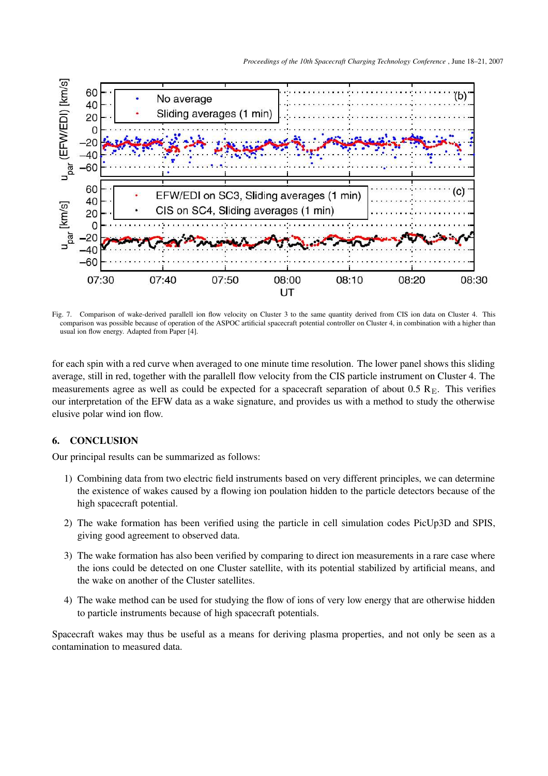

Fig. 7. Comparison of wake-derived parallell ion flow velocity on Cluster 3 to the same quantity derived from CIS ion data on Cluster 4. This comparison was possible because of operation of the ASPOC artificial spacecraft potential controller on Cluster 4, in combination with a higher than usual ion flow energy. Adapted from Paper [4].

for each spin with a red curve when averaged to one minute time resolution. The lower panel shows this sliding average, still in red, together with the parallell flow velocity from the CIS particle instrument on Cluster 4. The measurements agree as well as could be expected for a spacecraft separation of about  $0.5 \text{ R}_{\text{E}}$ . This verifies our interpretation of the EFW data as a wake signature, and provides us with a method to study the otherwise elusive polar wind ion flow.

# **6. CONCLUSION**

Our principal results can be summarized as follows:

- 1) Combining data from two electric field instruments based on very different principles, we can determine the existence of wakes caused by a flowing ion poulation hidden to the particle detectors because of the high spacecraft potential.
- 2) The wake formation has been verified using the particle in cell simulation codes PicUp3D and SPIS, giving good agreement to observed data.
- 3) The wake formation has also been verified by comparing to direct ion measurements in a rare case where the ions could be detected on one Cluster satellite, with its potential stabilized by artificial means, and the wake on another of the Cluster satellites.
- 4) The wake method can be used for studying the flow of ions of very low energy that are otherwise hidden to particle instruments because of high spacecraft potentials.

Spacecraft wakes may thus be useful as a means for deriving plasma properties, and not only be seen as a contamination to measured data.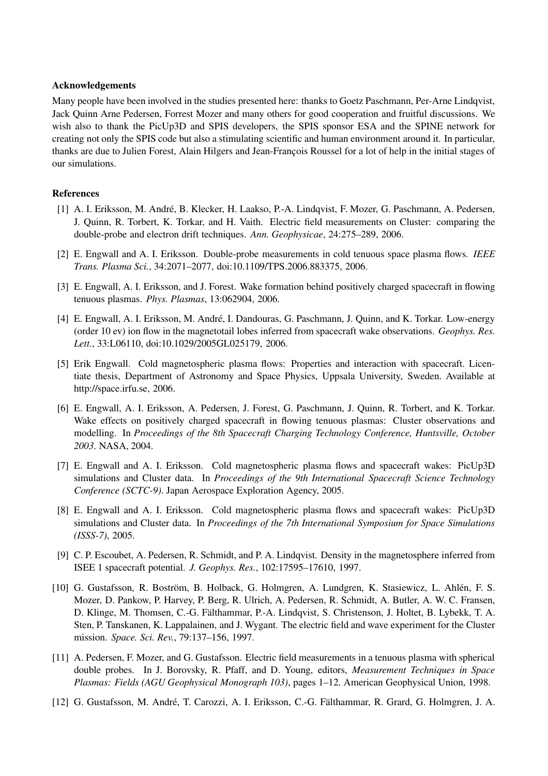### **Acknowledgements**

Many people have been involved in the studies presented here: thanks to Goetz Paschmann, Per-Arne Lindqvist, Jack Quinn Arne Pedersen, Forrest Mozer and many others for good cooperation and fruitful discussions. We wish also to thank the PicUp3D and SPIS developers, the SPIS sponsor ESA and the SPINE network for creating not only the SPIS code but also a stimulating scientific and human environment around it. In particular, thanks are due to Julien Forest, Alain Hilgers and Jean-François Roussel for a lot of help in the initial stages of our simulations.

## **References**

- [1] A. I. Eriksson, M. André, B. Klecker, H. Laakso, P.-A. Lindqvist, F. Mozer, G. Paschmann, A. Pedersen, J. Quinn, R. Torbert, K. Torkar, and H. Vaith. Electric field measurements on Cluster: comparing the double-probe and electron drift techniques. *Ann. Geophysicae*, 24:275–289, 2006.
- [2] E. Engwall and A. I. Eriksson. Double-probe measurements in cold tenuous space plasma flows. *IEEE Trans. Plasma Sci.*, 34:2071–2077, doi:10.1109/TPS.2006.883375, 2006.
- [3] E. Engwall, A. I. Eriksson, and J. Forest. Wake formation behind positively charged spacecraft in flowing tenuous plasmas. *Phys. Plasmas*, 13:062904, 2006.
- [4] E. Engwall, A. I. Eriksson, M. André, I. Dandouras, G. Paschmann, J. Quinn, and K. Torkar. Low-energy (order 10 ev) ion flow in the magnetotail lobes inferred from spacecraft wake observations. *Geophys. Res. Lett.*, 33:L06110, doi:10.1029/2005GL025179, 2006.
- [5] Erik Engwall. Cold magnetospheric plasma flows: Properties and interaction with spacecraft. Licentiate thesis, Department of Astronomy and Space Physics, Uppsala University, Sweden. Available at http://space.irfu.se, 2006.
- [6] E. Engwall, A. I. Eriksson, A. Pedersen, J. Forest, G. Paschmann, J. Quinn, R. Torbert, and K. Torkar. Wake effects on positively charged spacecraft in flowing tenuous plasmas: Cluster observations and modelling. In *Proceedings of the 8th Spacecraft Charging Technology Conference, Huntsville, October 2003*. NASA, 2004.
- [7] E. Engwall and A. I. Eriksson. Cold magnetospheric plasma flows and spacecraft wakes: PicUp3D simulations and Cluster data. In *Proceedings of the 9th International Spacecraft Science Technology Conference (SCTC-9)*. Japan Aerospace Exploration Agency, 2005.
- [8] E. Engwall and A. I. Eriksson. Cold magnetospheric plasma flows and spacecraft wakes: PicUp3D simulations and Cluster data. In *Proceedings of the 7th International Symposium for Space Simulations (ISSS-7)*, 2005.
- [9] C. P. Escoubet, A. Pedersen, R. Schmidt, and P. A. Lindqvist. Density in the magnetosphere inferred from ISEE 1 spacecraft potential. *J. Geophys. Res.*, 102:17595–17610, 1997.
- [10] G. Gustafsson, R. Boström, B. Holback, G. Holmgren, A. Lundgren, K. Stasiewicz, L. Ahlén, F. S. Mozer, D. Pankow, P. Harvey, P. Berg, R. Ulrich, A. Pedersen, R. Schmidt, A. Butler, A. W. C. Fransen, D. Klinge, M. Thomsen, C.-G. Fälthammar, P.-A. Lindqvist, S. Christenson, J. Holtet, B. Lybekk, T. A. Sten, P. Tanskanen, K. Lappalainen, and J. Wygant. The electric field and wave experiment for the Cluster mission. *Space. Sci. Rev.*, 79:137–156, 1997.
- [11] A. Pedersen, F. Mozer, and G. Gustafsson. Electric field measurements in a tenuous plasma with spherical double probes. In J. Borovsky, R. Pfaff, and D. Young, editors, *Measurement Techniques in Space Plasmas: Fields (AGU Geophysical Monograph 103)*, pages 1–12. American Geophysical Union, 1998.
- [12] G. Gustafsson, M. André, T. Carozzi, A. I. Eriksson, C.-G. Fälthammar, R. Grard, G. Holmgren, J. A.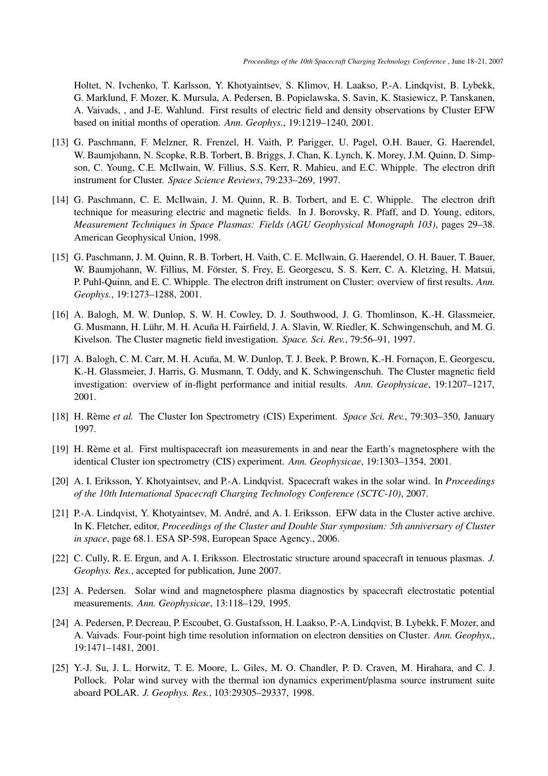Holtet, N. Ivchenko, T. Karlsson, Y. Khotyaintsev, S. Klimov, H. Laakso, P.-A. Lindqvist, B. Lybekk, G. Marklund, F. Mozer, K. Mursula, A. Pedersen, B. Popielawska, S. Savin, K. Stasiewicz, P. Tanskanen, A. Vaivads, , and J-E. Wahlund. First results of electric field and density observations by Cluster EFW based on initial months of operation. *Ann. Geophys.*, 19:1219–1240, 2001.

- [13] G. Paschmann, F. Melzner, R. Frenzel, H. Vaith, P. Parigger, U. Pagel, O.H. Bauer, G. Haerendel, W. Baumjohann, N. Scopke, R.B. Torbert, B. Briggs, J. Chan, K. Lynch, K. Morey, J.M. Quinn, D. Simpson, C. Young, C.E. McIlwain, W. Fillius, S.S. Kerr, R. Mahieu, and E.C. Whipple. The electron drift instrument for Cluster. *Space Science Reviews*, 79:233–269, 1997.
- [14] G. Paschmann, C. E. McIlwain, J. M. Quinn, R. B. Torbert, and E. C. Whipple. The electron drift technique for measuring electric and magnetic fields. In J. Borovsky, R. Pfaff, and D. Young, editors, *Measurement Techniques in Space Plasmas: Fields (AGU Geophysical Monograph 103)*, pages 29–38. American Geophysical Union, 1998.
- [15] G. Paschmann, J. M. Quinn, R. B. Torbert, H. Vaith, C. E. McIlwain, G. Haerendel, O. H. Bauer, T. Bauer, W. Baumjohann, W. Fillius, M. Förster, S. Frey, E. Georgescu, S. S. Kerr, C. A. Kletzing, H. Matsui, P. Puhl-Quinn, and E. C. Whipple. The electron drift instrument on Cluster: overview of first results. *Ann. Geophys.*, 19:1273–1288, 2001.
- [16] A. Balogh, M. W. Dunlop, S. W. H. Cowley, D. J. Southwood, J. G. Thomlinson, K.-H. Glassmeier, G. Musmann, H. Lühr, M. H. Acuña H. Fairfield, J. A. Slavin, W. Riedler, K. Schwingenschuh, and M. G. Kivelson. The Cluster magnetic field investigation. *Space. Sci. Rev.*, 79:56–91, 1997.
- [17] A. Balogh, C. M. Carr, M. H. Acuña, M. W. Dunlop, T. J. Beek, P. Brown, K.-H. Fornaçon, E. Georgescu, K.-H. Glassmeier, J. Harris, G. Musmann, T. Oddy, and K. Schwingenschuh. The Cluster magnetic field investigation: overview of in-flight performance and initial results. *Ann. Geophysicae*, 19:1207–1217, 2001.
- [18] H. Rème et al. The Cluster Ion Spectrometry (CIS) Experiment. *Space Sci. Rev.*, 79:303-350, January 1997.
- [19] H. Rème et al. First multispacecraft ion measurements in and near the Earth's magnetosphere with the identical Cluster ion spectrometry (CIS) experiment. *Ann. Geophysicae*, 19:1303–1354, 2001.
- [20] A. I. Eriksson, Y. Khotyaintsev, and P.-A. Lindqvist. Spacecraft wakes in the solar wind. In *Proceedings of the 10th International Spacecraft Charging Technology Conference (SCTC-10)*, 2007.
- [21] P.-A. Lindqvist, Y. Khotyaintsev, M. André, and A. I. Eriksson. EFW data in the Cluster active archive. In K. Fletcher, editor, *Proceedings of the Cluster and Double Star symposium: 5th anniversary of Cluster in space*, page 68.1. ESA SP-598, European Space Agency., 2006.
- [22] C. Cully, R. E. Ergun, and A. I. Eriksson. Electrostatic structure around spacecraft in tenuous plasmas. *J. Geophys. Res.*, accepted for publication, June 2007.
- [23] A. Pedersen. Solar wind and magnetosphere plasma diagnostics by spacecraft electrostatic potential measurements. *Ann. Geophysicae*, 13:118–129, 1995.
- [24] A. Pedersen, P. Decreau, P. Escoubet, G. Gustafsson, H. Laakso, P.-A. Lindqvist, B. Lybekk, F. Mozer, and A. Vaivads. Four-point high time resolution information on electron densities on Cluster. *Ann. Geophys,*, 19:1471–1481, 2001.
- [25] Y.-J. Su, J. L. Horwitz, T. E. Moore, L. Giles, M. O. Chandler, P. D. Craven, M. Hirahara, and C. J. Pollock. Polar wind survey with the thermal ion dynamics experiment/plasma source instrument suite aboard POLAR. *J. Geophys. Res.*, 103:29305–29337, 1998.